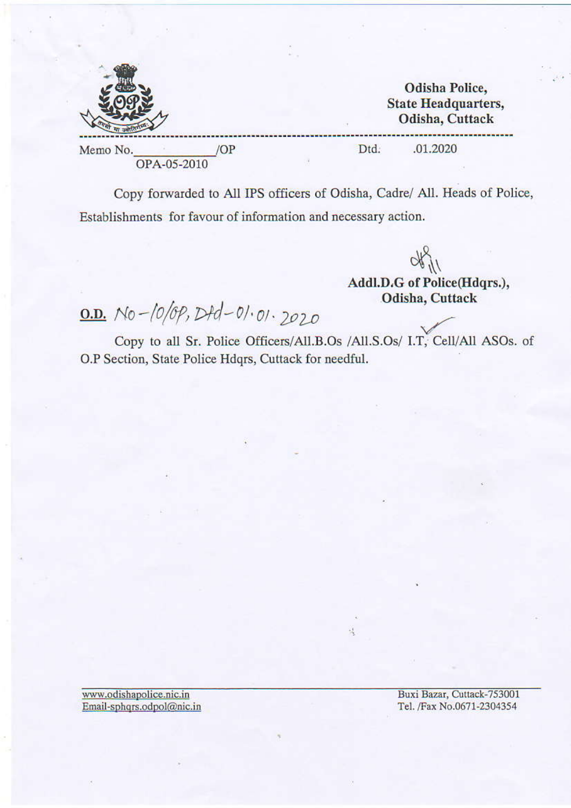**Odisha Police, State Headquarters,** Odisha, Cuttack

Memo No. OPA-05-2010 Dtd. .01.2020

Copy forwarded to All IPS officers of Odisha, Cadre/ All. Heads of Police, Establishments for favour of information and necessary action.

 $491$ 

Addl.D.G of Police(Hdqrs.), Odisha, Cuttack

0.D. No-10/0p, Dtd-01.01.2020

/OP

Copy to all Sr. Police Officers/All.B.Os /All.S.Os/ I.T, Cell/All ASOs. of O.P Section, State Police Hdqrs, Cuttack for needful.

堤

www.odishapolice.nic.in Email-sphqrs.odpol@nic.in Buxi Bazar, Cuttack-753001 Tel. /Fax No.0671-2304354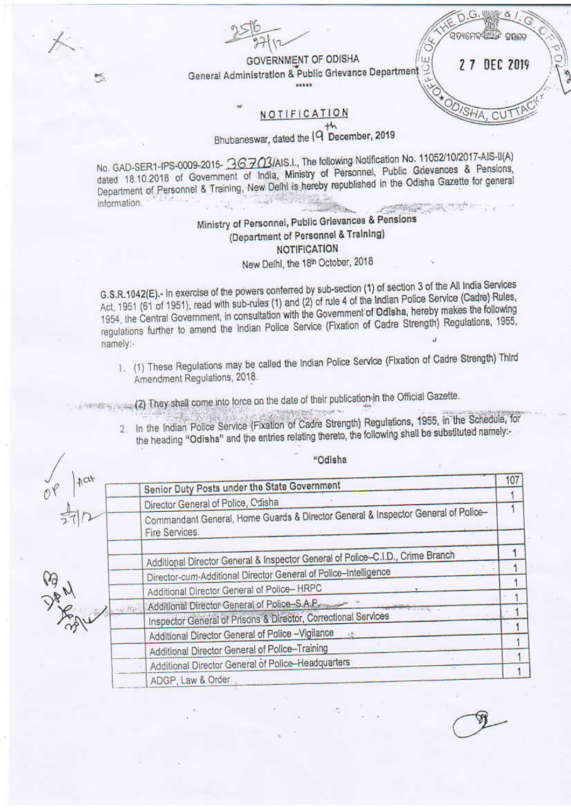GOVERNMENT OF ODISHA General Administration & Public Grievance Department  $11111$ 

密さ

2 7 DEC 2019

OPAN

G.

ସତ୍ୟମେବା

ÜΪ

**CICI** 

## NOTIFICATION

Bhubaneswar, dated the [9 December, 2019

No. GAD-SER1-IPS-0009-2015- 36703/AIS.I., The following Notification No. 11052/10/2017-AIS-II(A) dated 18.10.2018 of Government of India, Ministry of Personnel, Public Grievances & Pensions, Department of Personnel & Training, New Delhi is hereby republished in the Odisha Gazette for general information. **SAN ANTICIPAL AND ANTICIPALITY OF THE CONTRACTOR** 

## Ministry of Personnel, Public Grievances & Pensions (Department of Personnel & Training) **NOTIFICATION** New Delhi, the 18th October, 2018

G.S.R.1042(E) .- In exercise of the powers conferred by sub-section (1) of section 3 of the All India Services Act, 1951 (61 of 1951), read with sub-rules (1) and (2) of rule 4 of the Indian Police Service (Cadre) Rules, 1954, the Central Government, in consultation with the Government of Odisha, hereby makes the following regulations further to amend the Indian Police Service (Fixation of Cadre Strength) Regulations, 1955, namely:-

1. (1) These Regulations may be called the Indian Police Service (Fixation of Cadre Strength) Third Amendment Regulations, 2018.

They shall come into force on the date of their publication in the Official Gazette.

2. In the Indian Police Service (Fixation of Cadre Strength) Regulations, 1955, in the Schedule, for the heading "Odisha" and the entries relating thereto, the following shall be substituted namely:-

| $A$ at | Senior Duty Posts under the State Government                                                        | 107 |
|--------|-----------------------------------------------------------------------------------------------------|-----|
|        |                                                                                                     |     |
|        | Director General of Police, Odisha                                                                  |     |
|        | Commandant General, Home Guards & Director General & Inspector General of Police-<br>Fire Services. |     |
|        | Additional Director General & Inspector General of Police-C.I.D., Crime Branch                      |     |
|        | Director-cum-Additional Director General of Police-Intelligence                                     |     |
|        | Additional Director General of Police-HRPC                                                          |     |
|        | Additional Director General of Police S.A.P.                                                        |     |
|        | Inspector General of Prisons & Director, Correctional Services                                      |     |
|        | Additional Director General of Police -Vigilance                                                    |     |
|        | Additional Director General of Police-Training                                                      |     |
|        | Additional Director General of Police-Headquarters                                                  |     |
|        | ADGP, Law & Order                                                                                   |     |

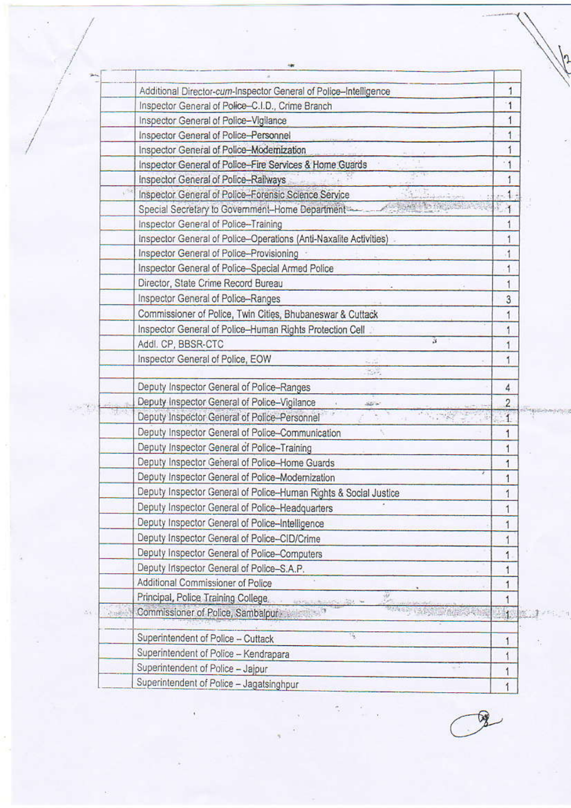|             | Additional Director-cum-Inspector General of Police-Intelligence        | 1              |
|-------------|-------------------------------------------------------------------------|----------------|
|             | Inspector General of Police-C.I.D., Crime Branch                        | 1              |
|             | Inspector General of Police-Vigilance                                   |                |
|             | Inspector General of Police-Personnel                                   |                |
|             | Inspector General of Police-Modernization                               |                |
|             | Inspector General of Police-Fire Services & Home Guards                 | $\cdot$ 1      |
|             | Inspector General of Police-Railways                                    |                |
| U.          | Inspector General of Police-Forensic Science Service                    |                |
|             | Special Secretary to Government-Home Department                         |                |
|             | Inspector General of Police-Training                                    |                |
|             | Inspector General of Police-Operations (Anti-Naxalite Activities)       |                |
|             | Inspector General of Police-Provisioning                                | 1              |
|             | Inspector General of Police-Special Armed Police                        | 1              |
|             | Director, State Crime Record Bureau                                     |                |
|             | Inspector General of Police-Ranges                                      | 3              |
|             | Commissioner of Police, Twin Cities, Bhubaneswar & Cuttack              | 1              |
|             | Inspector General of Police-Human Rights Protection Cell                |                |
|             | S.<br>Addl. CP, BBSR-CTC                                                | 1              |
|             | Inspector General of Police, EOW                                        | 1              |
|             | tas.                                                                    |                |
|             | Deputy Inspector General of Police-Ranges                               | 4              |
|             | Deputy Inspector General of Police-Vigilance<br>الموافقة                | $\overline{c}$ |
|             | Deputy Inspector General of Police-Personnel                            |                |
|             | Deputy Inspector General of Police-Communication                        |                |
|             | Deputy Inspector General of Police-Training                             |                |
|             | Deputy Inspector General of Police-Home Guards                          |                |
|             | Deputy Inspector General of Police-Modernization                        |                |
|             | Deputy Inspector General of Police-Human Rights & Social Justice        | 1              |
|             | Deputy Inspector General of Police-Headquarters                         | 1              |
|             | Deputy Inspector General of Police-Intelligence                         | 1              |
|             | Deputy Inspector General of Police-CID/Crime                            |                |
|             | Deputy Inspector General of Police-Computers                            | 1              |
|             | Deputy Inspector General of Police-S.A.P.                               | 1              |
|             | Additional Commissioner of Police                                       | 1              |
|             | Principal, Police Training College.<br>w<br><b>Commercial State New</b> | ٦              |
| $2 + 6 + 1$ | Commissioner of Police, Sambalpur<br><b>MAGGARY</b>                     | $\mathbf{1}$   |
|             | H.<br>Superintendent of Police - Cuttack                                | 1              |
|             | Superintendent of Police - Kendrapara                                   | ۸              |
|             | Superintendent of Police - Jajpur                                       | 1              |
|             | Superintendent of Police - Jagatsinghpur                                | 1              |

3

 $\leq$ 

DY.

 $\sqrt{2}$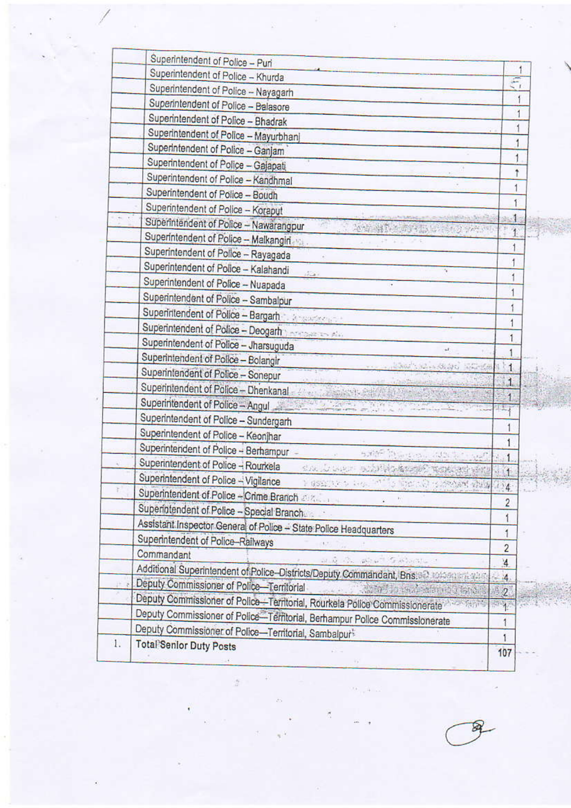|    | Superintendent of Police - Puri                                                       |                         |
|----|---------------------------------------------------------------------------------------|-------------------------|
|    | Superintendent of Police - Khurda                                                     |                         |
|    | Superintendent of Police - Nayagarh                                                   | $\epsilon$              |
|    | Superintendent of Police - Balasore                                                   |                         |
|    | Superintendent of Police - Bhadrak                                                    |                         |
|    | Superintendent of Police - Mayurbhanj                                                 |                         |
|    | Superintendent of Police - Ganjam                                                     | 1                       |
|    | Superintendent of Police - Gajapati                                                   | $\overline{1}$          |
|    | Superintendent of Police - Kandhmal                                                   | t                       |
|    | Superintendent of Police - Boudh                                                      |                         |
|    | Superintendent of Police - Koraput                                                    |                         |
|    | <b>Solution of Additional Ave</b><br>Superintendent of Police - Nawarangpur           | 运                       |
|    | 2 号 特别主要的问题, B 特色2 学生(中)<br>Superintendent of Police - Malkangiri                     |                         |
|    | Superintendent of Police - Rayagada                                                   | 1                       |
|    | Superintendent of Police - Kalahandi                                                  | 1                       |
|    | 17.20<br>Superintendent of Police - Nuapada                                           |                         |
|    | Superintendent of Police - Sambalpur                                                  |                         |
|    | Superintendent of Police - Bargarh                                                    |                         |
|    | Superintendent of Police - Deogarh                                                    |                         |
|    | Superintendent of Police - Jharsuguda                                                 |                         |
|    | u.<br>Superintendent of Police - Bolangir                                             |                         |
|    | when you and the whole<br>Superintendent of Police - Sonepur                          | $\mathbf{1}$            |
|    | Superintendent of Police - Dhenkanal                                                  | 1                       |
|    | Superintendent of Police - Angul                                                      |                         |
|    | Superintendent of Police - Sundergarh                                                 |                         |
|    | Superintendent of Police - Keonjhar                                                   |                         |
|    | Superintendent of Police - Berhampur -                                                | 1                       |
|    | sale ithing on 145 k<br>Superintendent of Police - Rourkela                           | y,                      |
|    | SUR LOWER BOOK PORT ROAD PO<br>Superintendent of Police - Vigilance                   | $\mathbf{1}$            |
|    | I good the best in the sports in mediat while                                         | $4^{\circ}$             |
|    | Superintendent of Police - Crime Branch                                               | 2                       |
|    | Superintendent of Police - Special Branch                                             |                         |
|    | Assistant Inspector General of Police - State Police Headquarters                     | 1                       |
|    | Superintendent of Police-Railways<br>机干<br>Commandant                                 | $\overline{\mathbf{c}}$ |
|    | and the about Garbarata                                                               | $\overline{4}$          |
|    | Additional Superintendent of Police-Districts/Deputy Commandant, Bns. 82.304591171499 | $-4$                    |
|    | Deputy Commissioner of Police-Territorial                                             | $\overline{2}$          |
|    | Deputy Commissioner of Police-Territorial, Rourkela Police Commissionerate            | <b>Bud</b>              |
|    | Deputy Commissioner of Police-Territorial, Berhampur Police Commissionerate           | 1                       |
|    | Deputy Commissioner of Police-Territorial, Sambalpur                                  | 1                       |
| 1. | <b>Total Senior Duty Posts</b>                                                        | 107                     |
|    |                                                                                       |                         |

 $\alpha_{\rm{eff}}$  and  $\beta_{\rm{eff}}$ 

ś